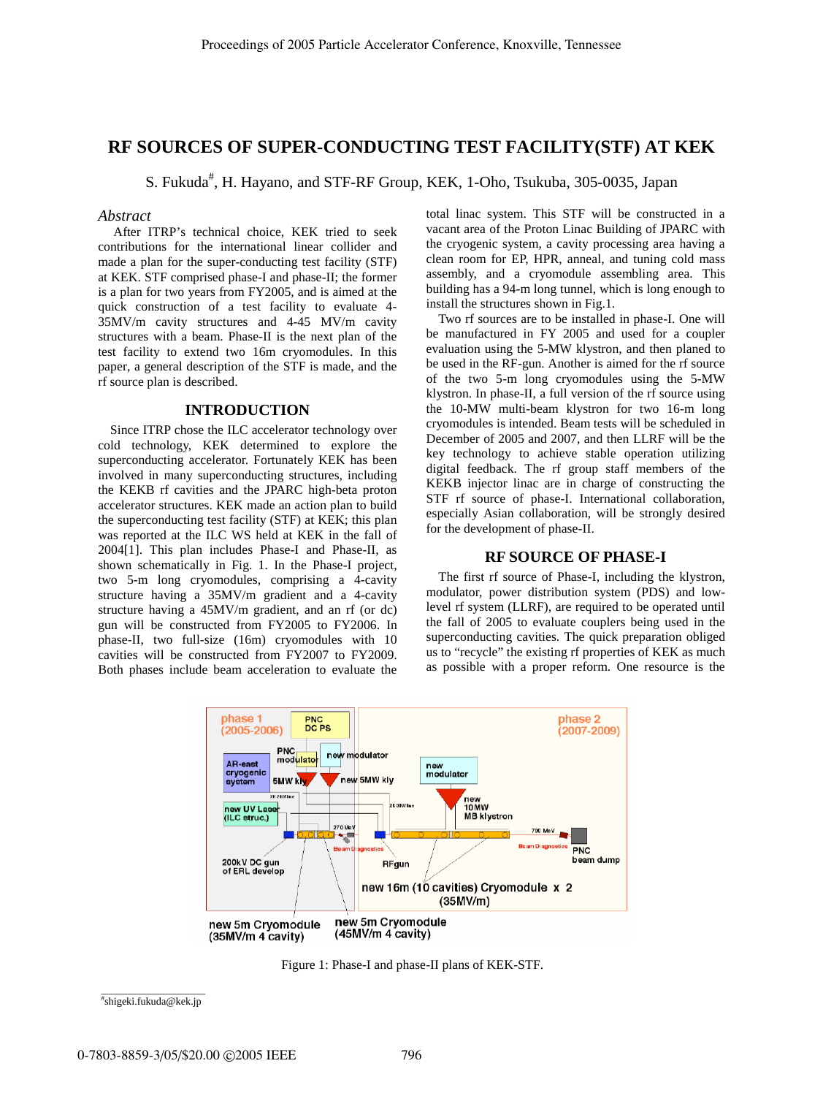# **RF SOURCES OF SUPER-CONDUCTING TEST FACILITY(STF) AT KEK**

S. Fukuda<sup>#</sup>, H. Hayano, and STF-RF Group, KEK, 1-Oho, Tsukuba, 305-0035, Japan

### *Abstract*

 After ITRP's technical choice, KEK tried to seek contributions for the international linear collider and made a plan for the super-conducting test facility (STF) at KEK. STF comprised phase-I and phase-II; the former is a plan for two years from FY2005, and is aimed at the quick construction of a test facility to evaluate 4- 35MV/m cavity structures and 4-45 MV/m cavity structures with a beam. Phase-II is the next plan of the test facility to extend two 16m cryomodules. In this paper, a general description of the STF is made, and the rf source plan is described.

## **INTRODUCTION**

Since ITRP chose the ILC accelerator technology over cold technology, KEK determined to explore the superconducting accelerator. Fortunately KEK has been involved in many superconducting structures, including the KEKB rf cavities and the JPARC high-beta proton accelerator structures. KEK made an action plan to build the superconducting test facility (STF) at KEK; this plan was reported at the ILC WS held at KEK in the fall of 2004[1]. This plan includes Phase-I and Phase-II, as shown schematically in Fig. 1. In the Phase-I project, two 5-m long cryomodules, comprising a 4-cavity structure having a 35MV/m gradient and a 4-cavity structure having a 45MV/m gradient, and an rf (or dc) gun will be constructed from FY2005 to FY2006. In phase-II, two full-size (16m) cryomodules with 10 cavities will be constructed from FY2007 to FY2009. Both phases include beam acceleration to evaluate the

total linac system. This STF will be constructed in a vacant area of the Proton Linac Building of JPARC with the cryogenic system, a cavity processing area having a clean room for EP, HPR, anneal, and tuning cold mass assembly, and a cryomodule assembling area. This building has a 94-m long tunnel, which is long enough to install the structures shown in Fig.1.

Two rf sources are to be installed in phase-I. One will be manufactured in FY 2005 and used for a coupler evaluation using the 5-MW klystron, and then planed to be used in the RF-gun. Another is aimed for the rf source of the two 5-m long cryomodules using the 5-MW klystron. In phase-II, a full version of the rf source using the 10-MW multi-beam klystron for two 16-m long cryomodules is intended. Beam tests will be scheduled in December of 2005 and 2007, and then LLRF will be the key technology to achieve stable operation utilizing digital feedback. The rf group staff members of the KEKB injector linac are in charge of constructing the STF rf source of phase-I. International collaboration, especially Asian collaboration, will be strongly desired for the development of phase-II.

#### **RF SOURCE OF PHASE-I**

The first rf source of Phase-I, including the klystron, modulator, power distribution system (PDS) and lowlevel rf system (LLRF), are required to be operated until the fall of 2005 to evaluate couplers being used in the superconducting cavities. The quick preparation obliged us to "recycle" the existing rf properties of KEK as much as possible with a proper reform. One resource is the



Figure 1: Phase-I and phase-II plans of KEK-STF.

 $\_$ # shigeki.fukuda@kek.jp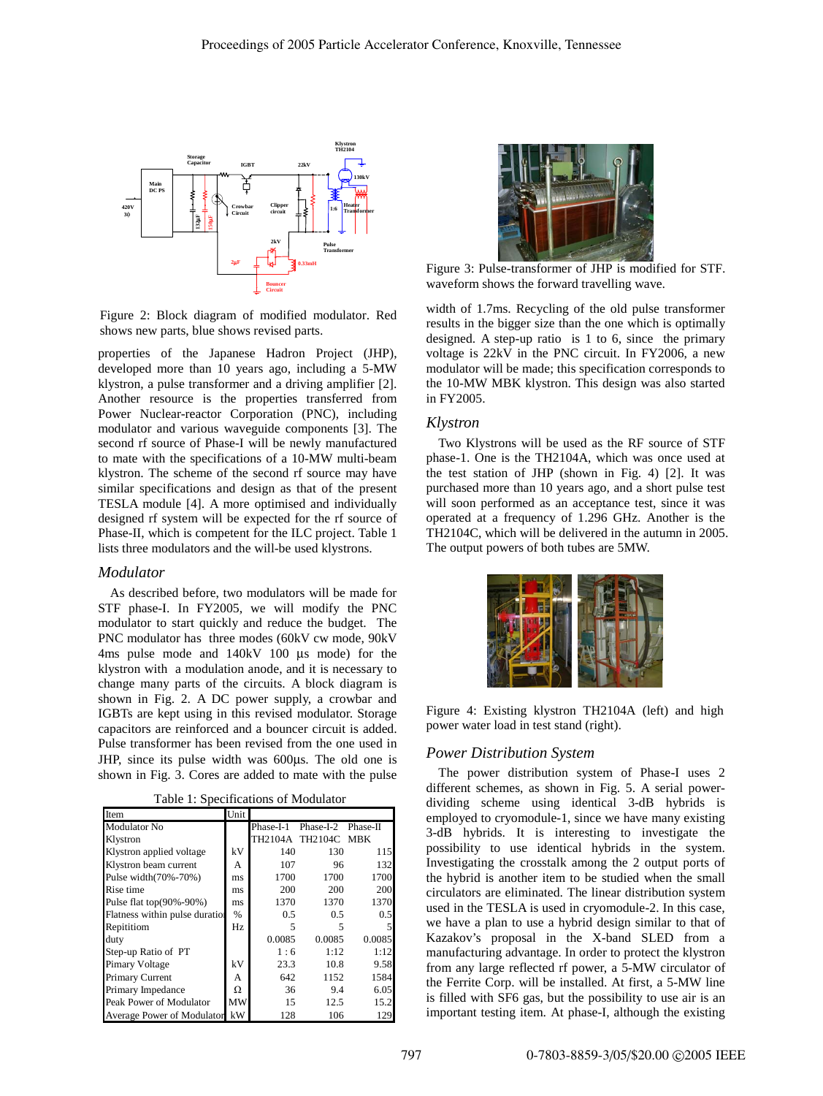

Figure 2: Block diagram of modified modulator. Red shows new parts, blue shows revised parts.

properties of the Japanese Hadron Project (JHP), developed more than 10 years ago, including a 5-MW klystron, a pulse transformer and a driving amplifier [2]. Another resource is the properties transferred from Power Nuclear-reactor Corporation (PNC), including modulator and various waveguide components [3]. The second rf source of Phase-I will be newly manufactured to mate with the specifications of a 10-MW multi-beam klystron. The scheme of the second rf source may have similar specifications and design as that of the present TESLA module [4]. A more optimised and individually designed rf system will be expected for the rf source of Phase-II, which is competent for the ILC project. Table 1 lists three modulators and the will-be used klystrons.

#### *Modulator*

As described before, two modulators will be made for STF phase-I. In FY2005, we will modify the PNC modulator to start quickly and reduce the budget. The PNC modulator has three modes (60kV cw mode, 90kV 4ms pulse mode and 140kV 100 µs mode) for the klystron with a modulation anode, and it is necessary to change many parts of the circuits. A block diagram is shown in Fig. 2. A DC power supply, a crowbar and IGBTs are kept using in this revised modulator. Storage capacitors are reinforced and a bouncer circuit is added. Pulse transformer has been revised from the one used in JHP, since its pulse width was 600µs. The old one is shown in Fig. 3. Cores are added to mate with the pulse

Table 1: Specifications of Modulator

| Item                           | Unit |           |                     |        |
|--------------------------------|------|-----------|---------------------|--------|
| Modulator No                   |      | Phase-I-1 | Phase-I-2 Phase-II  |        |
| Klystron                       |      |           | TH2104A TH2104C MBK |        |
| Klystron applied voltage       | kV   | 140       | 130                 | 115    |
| Klystron beam current          | А    | 107       | 96                  | 132    |
| Pulse width(70%-70%)           | ms   | 1700      | 1700                | 1700   |
| Rise time                      | ms   | 200       | 200                 | 200    |
| Pulse flat top(90%-90%)        | ms   | 1370      | 1370                | 1370   |
| Flatness within pulse duration | $\%$ | 0.5       | 0.5                 | 0.5    |
| Repititiom                     | Hz   | 5         | 5                   |        |
| duty                           |      | 0.0085    | 0.0085              | 0.0085 |
| Step-up Ratio of PT            |      | 1:6       | 1:12                | 1:12   |
| Pimary Voltage                 | kV   | 23.3      | 10.8                | 9.58   |
| Primary Current                | А    | 642       | 1152                | 1584   |
| Primary Impedance              | Ω    | 36        | 9.4                 | 6.05   |
| Peak Power of Modulator        | MW   | 15        | 12.5                | 15.2   |
| Average Power of Modulator     | kW   | 128       | 106                 | 129    |



Figure 3: Pulse-transformer of JHP is modified for STF. waveform shows the forward travelling wave.

width of 1.7ms. Recycling of the old pulse transformer results in the bigger size than the one which is optimally designed. A step-up ratio is 1 to 6, since the primary voltage is 22kV in the PNC circuit. In FY2006, a new modulator will be made; this specification corresponds to the 10-MW MBK klystron. This design was also started in FY2005.

### *Klystron*

Two Klystrons will be used as the RF source of STF phase-1. One is the TH2104A, which was once used at the test station of JHP (shown in Fig. 4) [2]. It was purchased more than 10 years ago, and a short pulse test will soon performed as an acceptance test, since it was operated at a frequency of 1.296 GHz. Another is the TH2104C, which will be delivered in the autumn in 2005. The output powers of both tubes are 5MW.



Figure 4: Existing klystron TH2104A (left) and high power water load in test stand (right).

### *Power Distribution System*

The power distribution system of Phase-I uses 2 different schemes, as shown in Fig. 5. A serial powerdividing scheme using identical 3-dB hybrids is employed to cryomodule-1, since we have many existing 3-dB hybrids. It is interesting to investigate the possibility to use identical hybrids in the system. Investigating the crosstalk among the 2 output ports of the hybrid is another item to be studied when the small circulators are eliminated. The linear distribution system used in the TESLA is used in cryomodule-2. In this case, we have a plan to use a hybrid design similar to that of Kazakov's proposal in the X-band SLED from a manufacturing advantage. In order to protect the klystron from any large reflected rf power, a 5-MW circulator of the Ferrite Corp. will be installed. At first, a 5-MW line is filled with SF6 gas, but the possibility to use air is an important testing item. At phase-I, although the existing